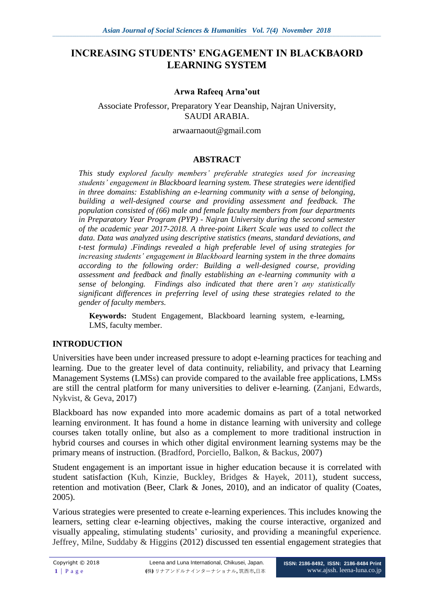# **INCREASING STUDENTS' ENGAGEMENT IN BLACKBAORD LEARNING SYSTEM**

### **Arwa Rafeeq Arna'out**

Associate Professor, Preparatory Year Deanship, Najran University, SAUDI ARABIA.

[arwaarnaout@gmail.com](mailto:arwaarnaout@gmail.com)

### **ABSTRACT**

*This study explored faculty members' preferable strategies used for increasing students' engagement in Blackboard learning system. These strategies were identified in three domains: Establishing an e-learning community with a sense of belonging, building a well-designed course and providing assessment and feedback. The population consisted of (66) male and female faculty members from four departments in Preparatory Year Program (PYP) - Najran University during the second semester of the academic year 2017-2018. A three-point Likert Scale was used to collect the data. Data was analyzed using descriptive statistics (means, standard deviations, and t-test formula) .Findings revealed a high preferable level of using strategies for increasing students' engagement in Blackboard learning system in the three domains according to the following order: Building a well-designed course, providing assessment and feedback and finally establishing an e-learning community with a sense of belonging. Findings also indicated that there aren't any statistically significant differences in preferring level of using these strategies related to the gender of faculty members.*

**Keywords:** Student Engagement, Blackboard learning system, e-learning, LMS, faculty member.

### **INTRODUCTION**

Universities have been under increased pressure to adopt e-learning practices for teaching and learning. Due to the greater level of data continuity, reliability, and privacy that Learning Management Systems (LMSs) can provide compared to the available free applications, LMSs are still the central platform for many universities to deliver e-learning. (Zanjani, Edwards, Nykvist, & Geva, 2017)

Blackboard has now expanded into more academic domains as part of a total networked learning environment. It has found a home in distance learning with university and college courses taken totally online, but also as a complement to more traditional instruction in hybrid courses and courses in which other digital environment learning systems may be the primary means of instruction. (Bradford, Porciello, Balkon, & Backus, 2007)

Student engagement is an important issue in higher education because it is correlated with student satisfaction (Kuh, Kinzie, Buckley, Bridges & Hayek, 2011), student success, retention and motivation (Beer, Clark & Jones, 2010), and an indicator of quality (Coates, 2005).

Various strategies were presented to create e-learning experiences. This includes knowing the learners, setting clear e-learning objectives, making the course interactive, organized and visually appealing, stimulating students' curiosity, and providing a meaningful experience. Jeffrey, Milne, Suddaby & Higgins (2012) discussed ten essential engagement strategies that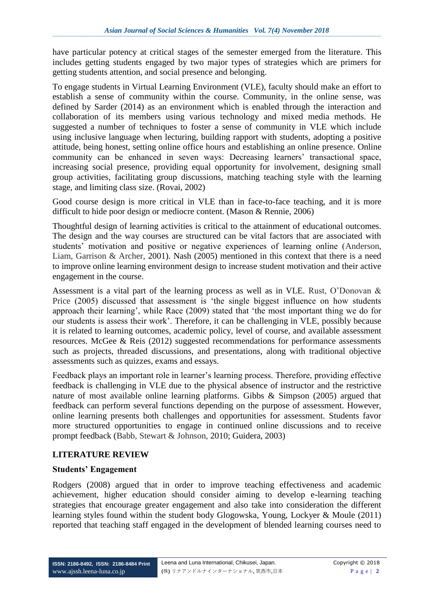have particular potency at critical stages of the semester emerged from the literature. This includes getting students engaged by two major types of strategies which are primers for getting students attention, and social presence and belonging.

To engage students in Virtual Learning Environment (VLE), faculty should make an effort to establish a sense of community within the course. Community, in the online sense, was defined by Sarder (2014) as an environment which is enabled through the interaction and collaboration of its members using various technology and mixed media methods. He suggested a number of techniques to foster a sense of community in VLE which include using inclusive language when lecturing, building rapport with students, adopting a positive attitude, being honest, setting online office hours and establishing an online presence. Online community can be enhanced in seven ways: Decreasing learners' transactional space, increasing social presence, providing equal opportunity for involvement, designing small group activities, facilitating group discussions, matching teaching style with the learning stage, and limiting class size. (Rovai, 2002)

Good course design is more critical in VLE than in face-to-face teaching, and it is more difficult to hide poor design or mediocre content. (Mason & Rennie, 2006)

Thoughtful design of learning activities is critical to the attainment of educational outcomes. The design and the way courses are structured can be vital factors that are associated with students' motivation and positive or negative experiences of learning online (Anderson, Liam, Garrison & Archer, 2001). Nash (2005) mentioned in this context that there is a need to improve online learning environment design to increase student motivation and their active engagement in the course.

Assessment is a vital part of the learning process as well as in VLE. Rust, O'Donovan & Price (2005) discussed that assessment is 'the single biggest influence on how students approach their learning', while Race (2009) stated that 'the most important thing we do for our students is assess their work'. Therefore, it can be challenging in VLE, possibly because it is related to learning outcomes, academic policy, level of course, and available assessment resources. McGee & Reis (2012) suggested recommendations for performance assessments such as projects, threaded discussions, and presentations, along with traditional objective assessments such as quizzes, exams and essays.

Feedback plays an important role in learner's learning process. Therefore, providing effective feedback is challenging in VLE due to the physical absence of instructor and the restrictive nature of most available online learning platforms. Gibbs & Simpson (2005) argued that feedback can perform several functions depending on the purpose of assessment. However, online learning presents both challenges and opportunities for assessment. Students favor more structured opportunities to engage in continued online discussions and to receive prompt feedback (Babb, Stewart & Johnson, 2010; Guidera, 2003)

### **LITERATURE REVIEW**

### **Students' Engagement**

Rodgers (2008) argued that in order to improve teaching effectiveness and academic achievement, higher education should consider aiming to develop e-learning teaching strategies that encourage greater engagement and also take into consideration the different learning styles found within the student body Glogowska, Young, Lockyer & Moule (2011) reported that teaching staff engaged in the development of blended learning courses need to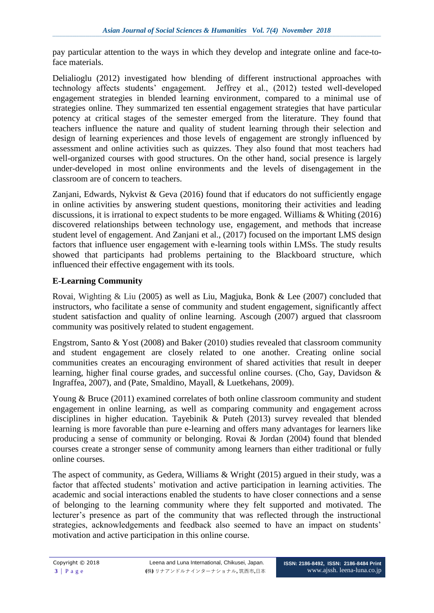pay particular attention to the ways in which they develop and integrate online and face-toface materials.

Delialioglu (2012) investigated how blending of different instructional approaches with technology affects students' engagement. Jeffrey et al., (2012) tested well-developed engagement strategies in blended learning environment, compared to a minimal use of strategies online. They summarized ten essential engagement strategies that have particular potency at critical stages of the semester emerged from the literature. They found that teachers influence the nature and quality of student learning through their selection and design of learning experiences and those levels of engagement are strongly influenced by assessment and online activities such as quizzes. They also found that most teachers had well-organized courses with good structures. On the other hand, social presence is largely under-developed in most online environments and the levels of disengagement in the classroom are of concern to teachers.

Zanjani, Edwards, Nykvist & Geva (2016) found that if educators do not sufficiently engage in online activities by answering student questions, monitoring their activities and leading discussions, it is irrational to expect students to be more engaged. Williams & Whiting (2016) discovered relationships between technology use, engagement, and methods that increase student level of engagement. And Zanjani et al., (2017) focused on the important LMS design factors that influence user engagement with e-learning tools within LMSs. The study results showed that participants had problems pertaining to the Blackboard structure, which influenced their effective engagement with its tools.

## **E-Learning Community**

Rovai, Wighting & Liu (2005) as well as Liu, Magjuka, Bonk & Lee (2007) concluded that instructors, who facilitate a sense of community and student engagement, significantly affect student satisfaction and quality of online learning. Ascough (2007) argued that classroom community was positively related to student engagement.

Engstrom, Santo & Yost (2008) and Baker (2010) studies revealed that classroom community and student engagement are closely related to one another. Creating online social communities creates an encouraging environment of shared activities that result in deeper learning, higher final course grades, and successful online courses. (Cho, Gay, Davidson & Ingraffea, 2007), and (Pate, Smaldino, Mayall, & Luetkehans, 2009).

Young & Bruce (2011) examined correlates of both online classroom community and student engagement in online learning, as well as comparing community and engagement across disciplines in higher education. Tayebinik & Puteh (2013) survey revealed that blended learning is more favorable than pure e-learning and offers many advantages for learners like producing a sense of community or belonging. Rovai & Jordan (2004) found that blended courses create a stronger sense of community among learners than either traditional or fully online courses.

The aspect of community, as Gedera, Williams & Wright (2015) argued in their study, was a factor that affected students' motivation and active participation in learning activities. The academic and social interactions enabled the students to have closer connections and a sense of belonging to the learning community where they felt supported and motivated. The lecturer's presence as part of the community that was reflected through the instructional strategies, acknowledgements and feedback also seemed to have an impact on students' motivation and active participation in this online course.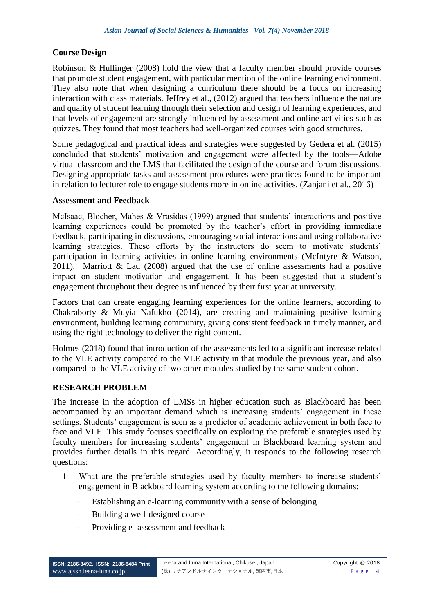#### **Course Design**

Robinson & Hullinger (2008) hold the view that a faculty member should provide courses that promote student engagement, with particular mention of the online learning environment. They also note that when designing a curriculum there should be a focus on increasing interaction with class materials. Jeffrey et al., (2012) argued that teachers influence the nature and quality of student learning through their selection and design of learning experiences, and that levels of engagement are strongly influenced by assessment and online activities such as quizzes. They found that most teachers had well-organized courses with good structures.

Some pedagogical and practical ideas and strategies were suggested by Gedera et al. (2015) concluded that students' motivation and engagement were affected by the tools—Adobe virtual classroom and the LMS that facilitated the design of the course and forum discussions. Designing appropriate tasks and assessment procedures were practices found to be important in relation to lecturer role to engage students more in online activities. (Zanjani et al., 2016)

### **Assessment and Feedback**

McIsaac, Blocher, Mahes & Vrasidas (1999) argued that students' interactions and positive learning experiences could be promoted by the teacher's effort in providing immediate feedback, participating in discussions, encouraging social interactions and using collaborative learning strategies. These efforts by the instructors do seem to motivate students' participation in learning activities in online learning environments (McIntyre & Watson, 2011). Marriott & Lau (2008) argued that the use of online assessments had a positive impact on student motivation and engagement. It has been suggested that a student's engagement throughout their degree is influenced by their first year at university.

Factors that can create engaging learning experiences for the online learners, according to Chakraborty & Muyia Nafukho (2014), are creating and maintaining positive learning environment, building learning community, giving consistent feedback in timely manner, and using the right technology to deliver the right content.

Holmes (2018) found that introduction of the assessments led to a significant increase related to the VLE activity compared to the VLE activity in that module the previous year, and also compared to the VLE activity of two other modules studied by the same student cohort.

### **RESEARCH PROBLEM**

The increase in the adoption of LMSs in higher education such as Blackboard has been accompanied by an important demand which is increasing students' engagement in these settings. Students' engagement is seen as a predictor of academic achievement in both face to face and VLE. This study focuses specifically on exploring the preferable strategies used by faculty members for increasing students' engagement in Blackboard learning system and provides further details in this regard. Accordingly, it responds to the following research questions:

- 1- What are the preferable strategies used by faculty members to increase students' engagement in Blackboard learning system according to the following domains:
	- Establishing an e-learning community with a sense of belonging
	- Building a well-designed course
	- Providing e- assessment and feedback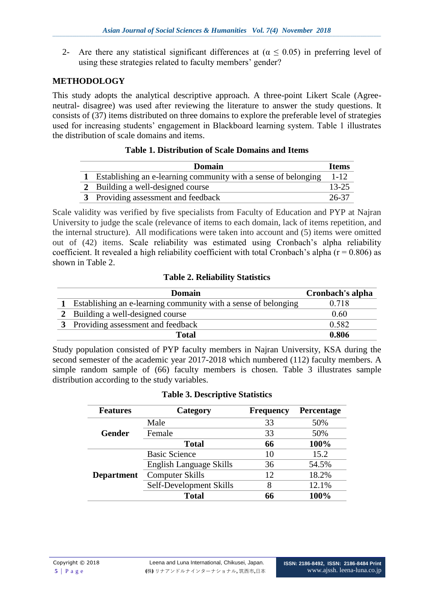2- Are there any statistical significant differences at  $(\alpha \le 0.05)$  in preferring level of using these strategies related to faculty members' gender?

### **METHODOLOGY**

This study adopts the analytical descriptive approach. A three-point Likert Scale (Agreeneutral- disagree) was used after reviewing the literature to answer the study questions. It consists of (37) items distributed on three domains to explore the preferable level of strategies used for increasing students' engagement in Blackboard learning system. Table 1 illustrates the distribution of scale domains and items.

### **Table 1. Distribution of Scale Domains and Items**

| Domain                                                           | <b>Items</b> |
|------------------------------------------------------------------|--------------|
| 1 Establishing an e-learning community with a sense of belonging | $1 - 12$     |
| 2 Building a well-designed course                                | $13 - 25$    |
| 3 Providing assessment and feedback                              | 26-37        |
|                                                                  |              |

Scale validity was verified by five specialists from Faculty of Education and PYP at Najran University to judge the scale (relevance of items to each domain, lack of items repetition, and the internal structure). All modifications were taken into account and (5) items were omitted out of (42) items. Scale reliability was estimated using Cronbach's alpha reliability coefficient. It revealed a high reliability coefficient with total Cronbach's alpha ( $r = 0.806$ ) as shown in Table 2.

### **Table 2. Reliability Statistics**

| Domain                                                         | Cronbach's alpha |
|----------------------------------------------------------------|------------------|
| Establishing an e-learning community with a sense of belonging | 0.718            |
| 2 Building a well-designed course                              | 0.60             |
| 3 Providing assessment and feedback                            | 0.582            |
| Total                                                          | 0.806            |

Study population consisted of PYP faculty members in Najran University, KSA during the second semester of the academic year 2017-2018 which numbered (112) faculty members. A simple random sample of (66) faculty members is chosen. Table 3 illustrates sample distribution according to the study variables.

| <b>Features</b>   | Category                       |    | Percentage |  |
|-------------------|--------------------------------|----|------------|--|
|                   | Male                           | 33 | 50%        |  |
| Gender            | Female                         | 33 | 50%        |  |
|                   | <b>Total</b>                   | 66 | 100%       |  |
|                   | <b>Basic Science</b>           | 10 | 15.2       |  |
|                   | <b>English Language Skills</b> | 36 | 54.5%      |  |
| <b>Department</b> | <b>Computer Skills</b>         | 12 | 18.2%      |  |
|                   | Self-Development Skills        | 8  | 12.1%      |  |
|                   | <b>Total</b>                   | 66 | 100%       |  |

### **Table 3. Descriptive Statistics**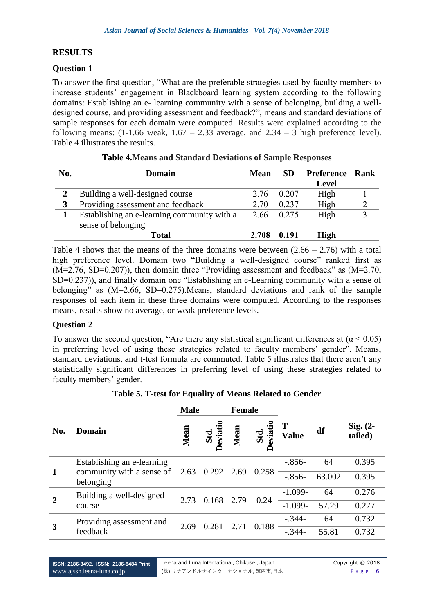# **RESULTS**

### **Question 1**

To answer the first question, "What are the preferable strategies used by faculty members to increase students' engagement in Blackboard learning system according to the following domains: Establishing an e- learning community with a sense of belonging, building a welldesigned course, and providing assessment and feedback?", means and standard deviations of sample responses for each domain were computed. Results were explained according to the following means:  $(1-1.66 \text{ weak}, 1.67 - 2.33 \text{ average}, \text{ and } 2.34 - 3 \text{ high preference level}).$ Table 4 illustrates the results.

| No. | Domain                                      |       | SD.        | Preference Rank |  |
|-----|---------------------------------------------|-------|------------|-----------------|--|
|     |                                             |       |            | <b>Level</b>    |  |
|     | Building a well-designed course             | 2.76  | 0.207      | High            |  |
|     | Providing assessment and feedback           | 2.70  | 0.237      | High            |  |
|     | Establishing an e-learning community with a |       | 2.66 0.275 | High            |  |
|     | sense of belonging                          |       |            |                 |  |
|     | Total                                       | 2.708 | A 191      | High            |  |

| <b>Table 4. Means and Standard Deviations of Sample Responses</b> |  |  |
|-------------------------------------------------------------------|--|--|
|-------------------------------------------------------------------|--|--|

Table 4 shows that the means of the three domains were between  $(2.66 - 2.76)$  with a total high preference level. Domain two "Building a well-designed course" ranked first as  $(M=2.76, SD=0.207)$ , then domain three "Providing assessment and feedback" as  $(M=2.70,$ SD=0.237)), and finally domain one "Establishing an e-Learning community with a sense of belonging" as (M=2.66, SD=0.275).Means, standard deviations and rank of the sample responses of each item in these three domains were computed. According to the responses means, results show no average, or weak preference levels.

#### **Question 2**

To answer the second question, "Are there any statistical significant differences at ( $\alpha$  < 0.05) in preferring level of using these strategies related to faculty members' gender", Means, standard deviations, and t-test formula are commuted. Table 5 illustrates that there aren't any statistically significant differences in preferring level of using these strategies related to faculty members' gender.

|     |                                                                      | <b>Male</b> |                 | <b>Female</b> |                |                   |        |                       |
|-----|----------------------------------------------------------------------|-------------|-----------------|---------------|----------------|-------------------|--------|-----------------------|
| No. | Domain                                                               | Mean        | Std.<br>eviatio | Mean          | Std.<br>eviati | T<br><b>Value</b> | df     | Sig. $(2-$<br>tailed) |
|     | Establishing an e-learning<br>community with a sense of<br>belonging | 2.63        | 0.292           | 2.69          |                | $-.856-$          | 64     | 0.395                 |
| 1   |                                                                      |             |                 |               | 0.258          | $-.856-$          | 63.002 | 0.395                 |
|     | Building a well-designed<br>course                                   | 2.73        | 0.168           | 2.79          | 0.24           | $-1.099-$         | 64     | 0.276                 |
|     |                                                                      |             |                 |               |                | $-1.099-$         | 57.29  | 0.277                 |
|     | Providing assessment and<br>feedback                                 | 2.69        | 0.281           | 2.71          | 0.188          | $-.344-$          | 64     | 0.732                 |
|     |                                                                      |             |                 |               |                | $-.344-$          | 55.81  | 0.732                 |

**Table 5. T-test for Equality of Means Related to Gender**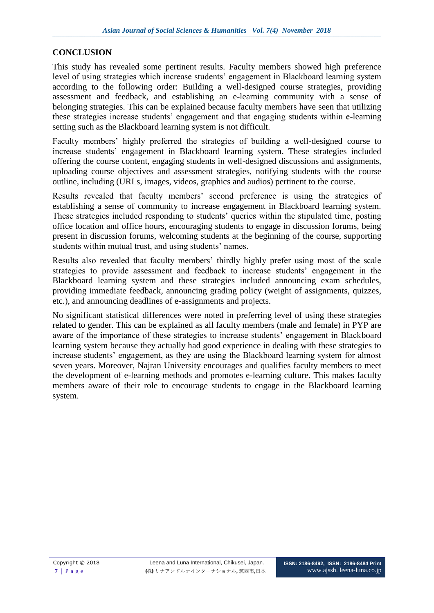## **CONCLUSION**

This study has revealed some pertinent results. Faculty members showed high preference level of using strategies which increase students' engagement in Blackboard learning system according to the following order: Building a well-designed course strategies, providing assessment and feedback, and establishing an e-learning community with a sense of belonging strategies. This can be explained because faculty members have seen that utilizing these strategies increase students' engagement and that engaging students within e-learning setting such as the Blackboard learning system is not difficult.

Faculty members' highly preferred the strategies of building a well-designed course to increase students' engagement in Blackboard learning system. These strategies included offering the course content, engaging students in well-designed discussions and assignments, uploading course objectives and assessment strategies, notifying students with the course outline, including (URLs, images, videos, graphics and audios) pertinent to the course.

Results revealed that faculty members' second preference is using the strategies of establishing a sense of community to increase engagement in Blackboard learning system. These strategies included responding to students' queries within the stipulated time, posting office location and office hours, encouraging students to engage in discussion forums, being present in discussion forums, welcoming students at the beginning of the course, supporting students within mutual trust, and using students' names.

Results also revealed that faculty members' thirdly highly prefer using most of the scale strategies to provide assessment and feedback to increase students' engagement in the Blackboard learning system and these strategies included announcing exam schedules, providing immediate feedback, announcing grading policy (weight of assignments, quizzes, etc.), and announcing deadlines of e-assignments and projects.

No significant statistical differences were noted in preferring level of using these strategies related to gender. This can be explained as all faculty members (male and female) in PYP are aware of the importance of these strategies to increase students' engagement in Blackboard learning system because they actually had good experience in dealing with these strategies to increase students' engagement, as they are using the Blackboard learning system for almost seven years. Moreover, Najran University encourages and qualifies faculty members to meet the development of e-learning methods and promotes e-learning culture. This makes faculty members aware of their role to encourage students to engage in the Blackboard learning system.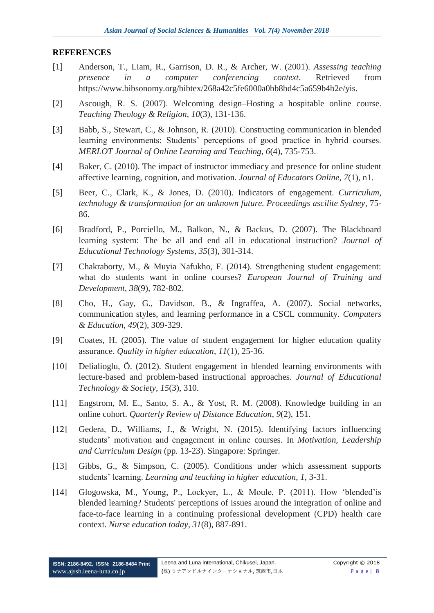### **REFERENCES**

- [1] Anderson, T., Liam, R., Garrison, D. R., & Archer, W. (2001). *Assessing teaching presence in a computer conferencing context*. Retrieved from https://www.bibsonomy.org/bibtex/268a42c5fe6000a0bb8bd4c5a659b4b2e/yis.
- [2] Ascough, R. S. (2007). Welcoming design–Hosting a hospitable online course. *Teaching Theology & Religion*, *10*(3), 131-136.
- [3] Babb, S., Stewart, C., & Johnson, R. (2010). Constructing communication in blended learning environments: Students' perceptions of good practice in hybrid courses. *MERLOT Journal of Online Learning and Teaching*, *6*(4), 735-753.
- [4] Baker, C. (2010). The impact of instructor immediacy and presence for online student affective learning, cognition, and motivation. *Journal of Educators Online*, *7*(1), n1.
- [5] Beer, C., Clark, K., & Jones, D. (2010). Indicators of engagement. *Curriculum, technology & transformation for an unknown future. Proceedings ascilite Sydney*, 75- 86.
- [6] Bradford, P., Porciello, M., Balkon, N., & Backus, D. (2007). The Blackboard learning system: The be all and end all in educational instruction? *Journal of Educational Technology Systems*, *35*(3), 301-314.
- [7] Chakraborty, M., & Muyia Nafukho, F. (2014). Strengthening student engagement: what do students want in online courses? *European Journal of Training and Development*, *38*(9), 782-802.
- [8] Cho, H., Gay, G., Davidson, B., & Ingraffea, A. (2007). Social networks, communication styles, and learning performance in a CSCL community. *Computers & Education*, *49*(2), 309-329.
- [9] Coates, H. (2005). The value of student engagement for higher education quality assurance. *Quality in higher education*, *11*(1), 25-36.
- [10] Delialioglu, Ö. (2012). Student engagement in blended learning environments with lecture-based and problem-based instructional approaches. *Journal of Educational Technology & Society*, *15*(3), 310.
- [11] Engstrom, M. E., Santo, S. A., & Yost, R. M. (2008). Knowledge building in an online cohort. *Quarterly Review of Distance Education*, *9*(2), 151.
- [12] Gedera, D., Williams, J., & Wright, N. (2015). Identifying factors influencing students' motivation and engagement in online courses. In *Motivation, Leadership and Curriculum Design* (pp. 13-23). Singapore: Springer.
- [13] Gibbs, G., & Simpson, C. (2005). Conditions under which assessment supports students' learning. *Learning and teaching in higher education*, *1*, 3-31.
- [14] Glogowska, M., Young, P., Lockyer, L., & Moule, P. (2011). How 'blended'is blended learning? Students' perceptions of issues around the integration of online and face-to-face learning in a continuing professional development (CPD) health care context. *Nurse education today*, *31*(8), 887-891.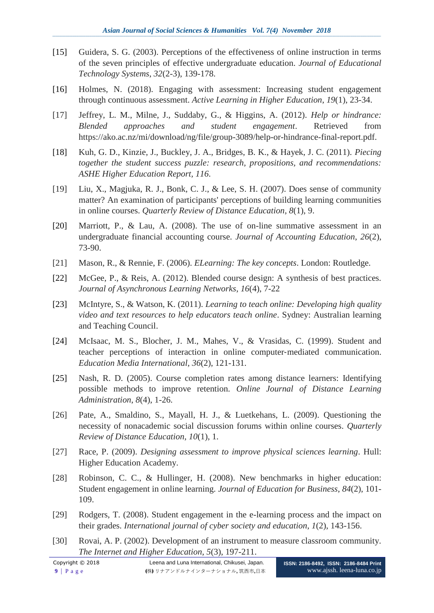- [15] Guidera, S. G. (2003). Perceptions of the effectiveness of online instruction in terms of the seven principles of effective undergraduate education. *Journal of Educational Technology Systems*, *32*(2-3), 139-178.
- [16] Holmes, N. (2018). Engaging with assessment: Increasing student engagement through continuous assessment. *Active Learning in Higher Education*, *19*(1), 23-34.
- [17] Jeffrey, L. M., Milne, J., Suddaby, G., & Higgins, A. (2012). *Help or hindrance: Blended approaches and student engagement*. Retrieved from https://ako.ac.nz/mi/download/ng/file/group-3089/help-or-hindrance-final-report.pdf.
- [18] Kuh, G. D., Kinzie, J., Buckley, J. A., Bridges, B. K., & Hayek, J. C. (2011). *Piecing together the student success puzzle: research, propositions, and recommendations: ASHE Higher Education Report, 116*.
- [19] Liu, X., Magjuka, R. J., Bonk, C. J., & Lee, S. H. (2007). Does sense of community matter? An examination of participants' perceptions of building learning communities in online courses. *Quarterly Review of Distance Education*, *8*(1), 9.
- [20] Marriott, P., & Lau, A. (2008). The use of on-line summative assessment in an undergraduate financial accounting course. *Journal of Accounting Education*, *26*(2), 73-90.
- [21] Mason, R., & Rennie, F. (2006). *ELearning: The key concepts*. London: Routledge.
- [22] McGee, P., & Reis, A. (2012). Blended course design: A synthesis of best practices. *Journal of Asynchronous Learning Networks*, *16*(4), 7-22
- [23] McIntyre, S., & Watson, K. (2011). *Learning to teach online: Developing high quality video and text resources to help educators teach online*. Sydney: Australian learning and Teaching Council.
- [24] McIsaac, M. S., Blocher, J. M., Mahes, V., & Vrasidas, C. (1999). Student and teacher perceptions of interaction in online computer‐mediated communication. *Education Media International*, *36*(2), 121-131.
- [25] Nash, R. D. (2005). Course completion rates among distance learners: Identifying possible methods to improve retention. *Online Journal of Distance Learning Administration*, *8*(4), 1-26.
- [26] Pate, A., Smaldino, S., Mayall, H. J., & Luetkehans, L. (2009). Questioning the necessity of nonacademic social discussion forums within online courses. *Quarterly Review of Distance Education*, *10*(1), 1.
- [27] Race, P. (2009). *Designing assessment to improve physical sciences learning*. Hull: Higher Education Academy.
- [28] Robinson, C. C., & Hullinger, H. (2008). New benchmarks in higher education: Student engagement in online learning. *Journal of Education for Business*, *84*(2), 101- 109.
- [29] Rodgers, T. (2008). Student engagement in the e-learning process and the impact on their grades. *International journal of cyber society and education*, *1*(2), 143-156.
- [30] Rovai, A. P. (2002). Development of an instrument to measure classroom community. *The Internet and Higher Education*, *5*(3), 197-211.